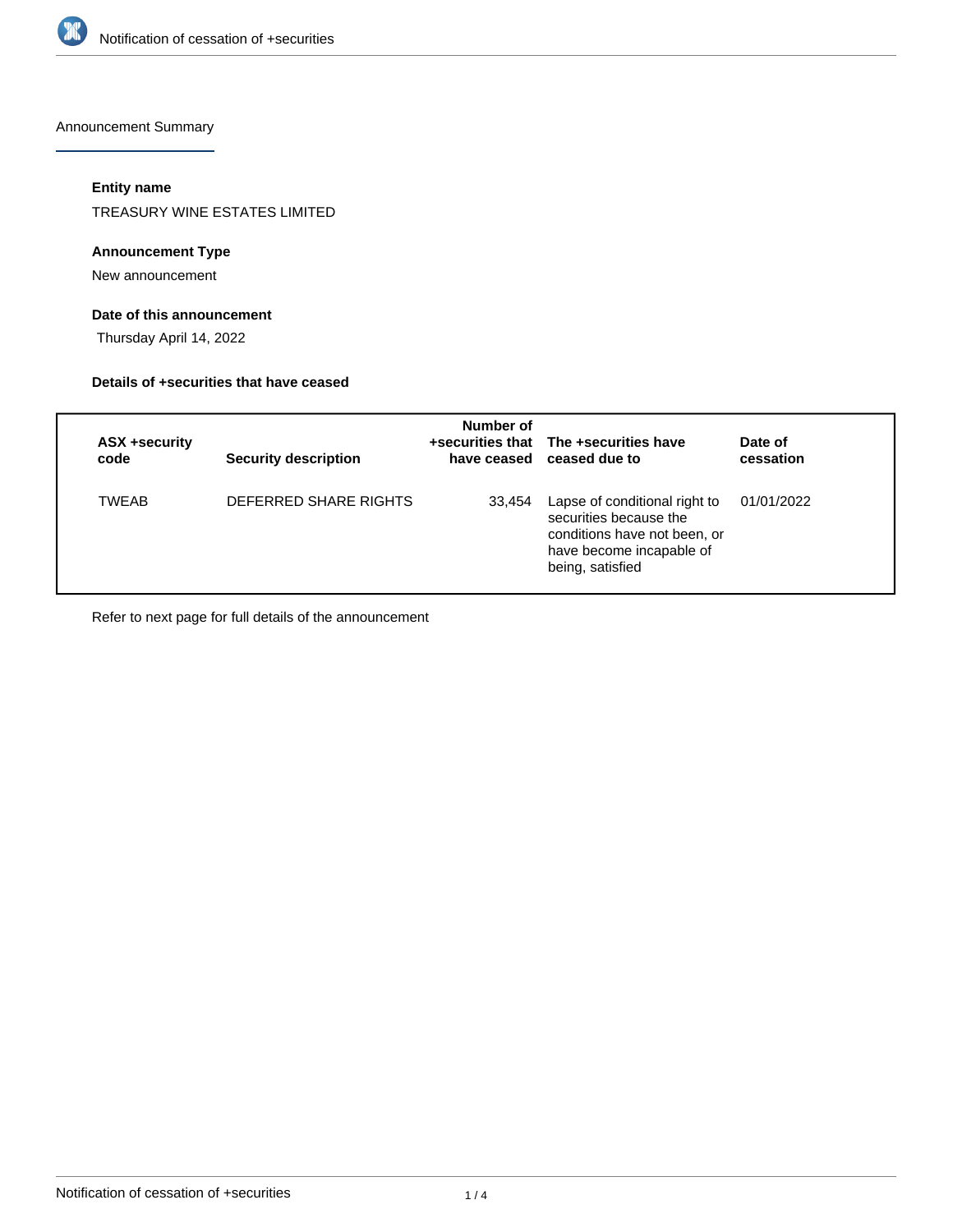

Announcement Summary

# **Entity name**

TREASURY WINE ESTATES LIMITED

### **Announcement Type**

New announcement

# **Date of this announcement**

Thursday April 14, 2022

#### **Details of +securities that have ceased**

| ASX +security<br>code | <b>Security description</b> | Number of | +securities that The +securities have<br>have ceased ceased due to                                                                      | Date of<br>cessation |
|-----------------------|-----------------------------|-----------|-----------------------------------------------------------------------------------------------------------------------------------------|----------------------|
| <b>TWFAB</b>          | DEFERRED SHARE RIGHTS       | 33,454    | Lapse of conditional right to<br>securities because the<br>conditions have not been, or<br>have become incapable of<br>being, satisfied | 01/01/2022           |

Refer to next page for full details of the announcement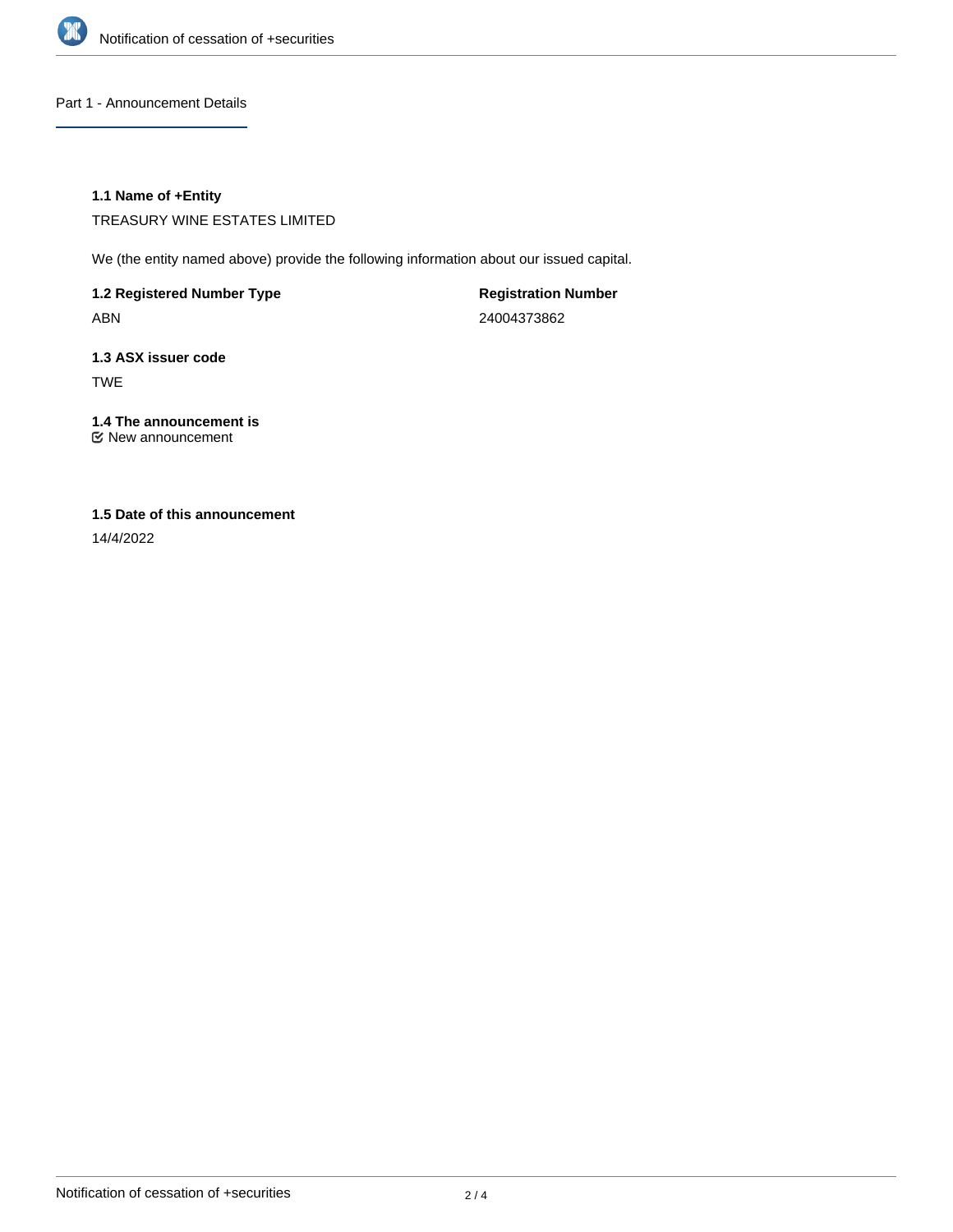

Part 1 - Announcement Details

## **1.1 Name of +Entity**

TREASURY WINE ESTATES LIMITED

We (the entity named above) provide the following information about our issued capital.

**1.2 Registered Number Type** ABN

**Registration Number** 24004373862

**1.3 ASX issuer code** TWE

**1.4 The announcement is** New announcement

# **1.5 Date of this announcement**

14/4/2022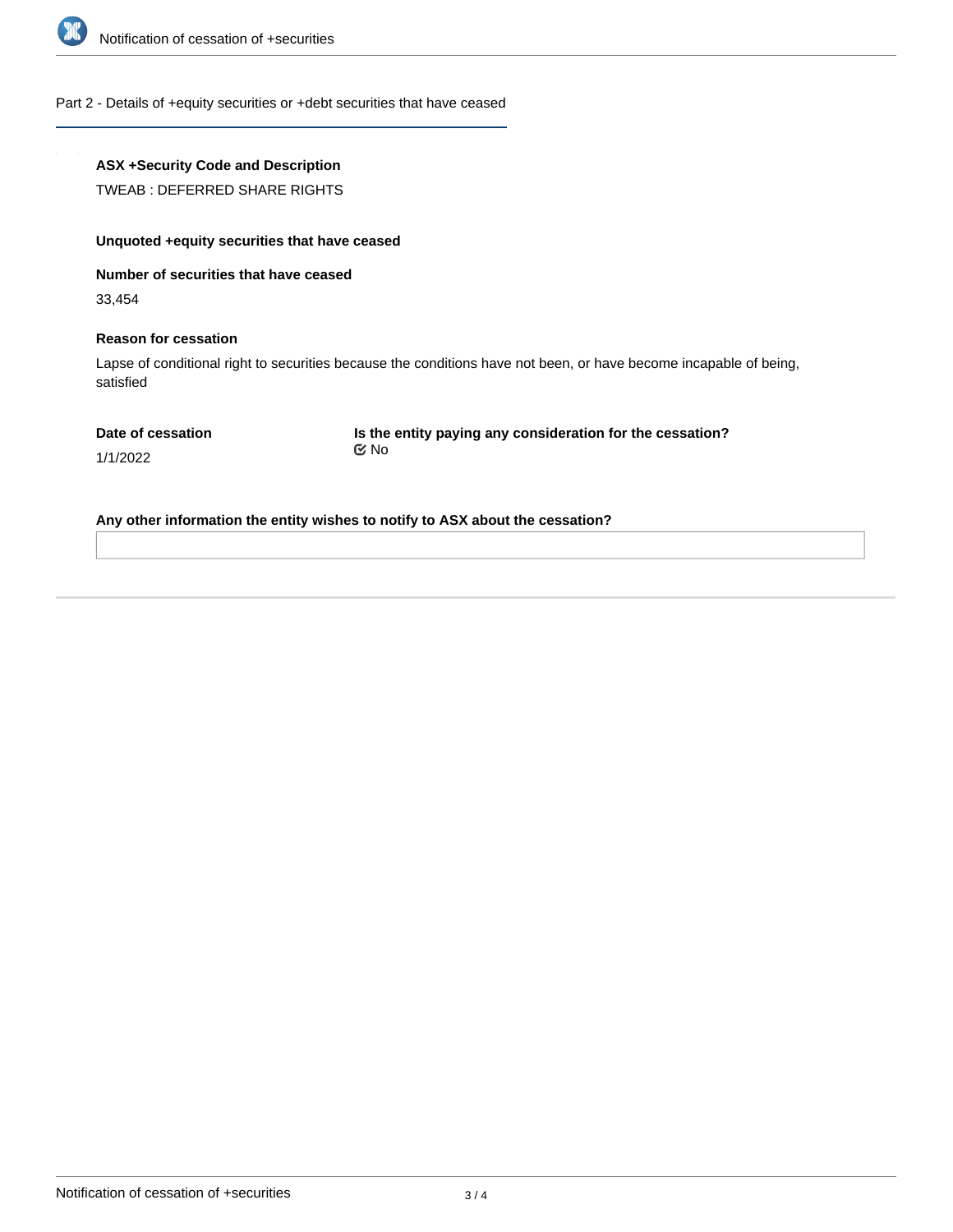

Part 2 - Details of +equity securities or +debt securities that have ceased

# **ASX +Security Code and Description**

TWEAB : DEFERRED SHARE RIGHTS

# **Unquoted +equity securities that have ceased**

**Number of securities that have ceased**

33,454

#### **Reason for cessation**

Lapse of conditional right to securities because the conditions have not been, or have become incapable of being, satisfied

|  | Date of cessation |
|--|-------------------|
|  |                   |

**Is the entity paying any consideration for the cessation?** No

1/1/2022

**Any other information the entity wishes to notify to ASX about the cessation?**